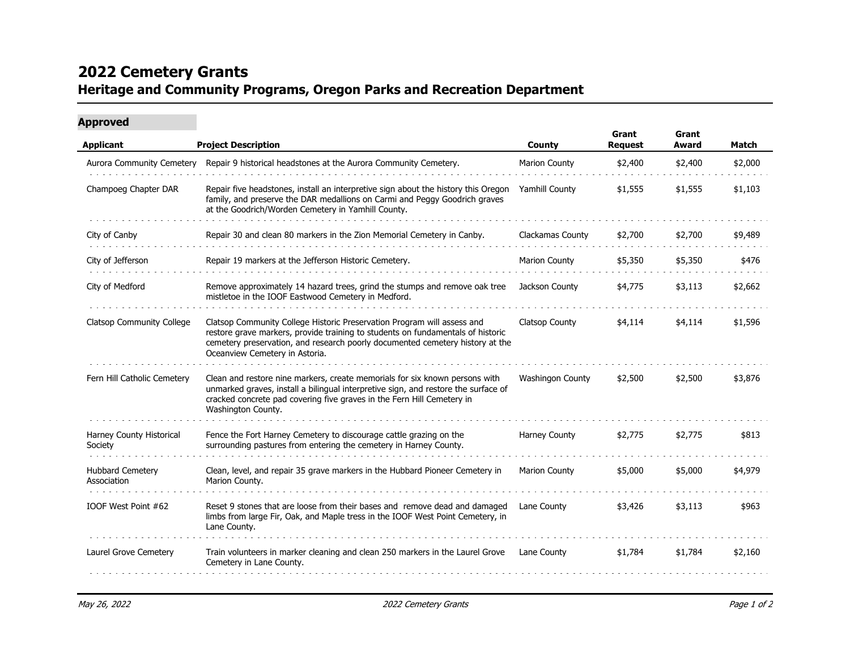## **2022 Cemetery Grants Heritage and Community Programs, Oregon Parks and Recreation Department**

| <b>Approved</b>                        | <b>Project Description</b>                                                                                                                                                                                                                                                    | <b>County</b>         | Grant<br><b>Request</b> | Grant<br>Award | <b>Match</b> |
|----------------------------------------|-------------------------------------------------------------------------------------------------------------------------------------------------------------------------------------------------------------------------------------------------------------------------------|-----------------------|-------------------------|----------------|--------------|
| <b>Applicant</b>                       |                                                                                                                                                                                                                                                                               |                       |                         |                |              |
| Aurora Community Cemetery              | Repair 9 historical headstones at the Aurora Community Cemetery.                                                                                                                                                                                                              | Marion County         | \$2,400                 | \$2,400        | \$2,000      |
| Champoeg Chapter DAR                   | Repair five headstones, install an interpretive sign about the history this Oregon<br>family, and preserve the DAR medallions on Carmi and Peggy Goodrich graves<br>at the Goodrich/Worden Cemetery in Yamhill County.                                                        | Yamhill County        | \$1,555                 | \$1,555        | \$1,103      |
| City of Canby                          | Repair 30 and clean 80 markers in the Zion Memorial Cemetery in Canby.                                                                                                                                                                                                        | Clackamas County      | \$2,700                 | \$2,700        | \$9,489      |
| City of Jefferson                      | Repair 19 markers at the Jefferson Historic Cemetery.                                                                                                                                                                                                                         | <b>Marion County</b>  | \$5,350                 | \$5,350        | \$476        |
| City of Medford                        | Remove approximately 14 hazard trees, grind the stumps and remove oak tree<br>mistletoe in the IOOF Eastwood Cemetery in Medford.                                                                                                                                             | Jackson County        | \$4,775                 | \$3,113        | \$2,662      |
| <b>Clatsop Community College</b>       | Clatsop Community College Historic Preservation Program will assess and<br>restore grave markers, provide training to students on fundamentals of historic<br>cemetery preservation, and research poorly documented cemetery history at the<br>Oceanview Cemetery in Astoria. | <b>Clatsop County</b> | \$4,114                 | \$4,114        | \$1,596      |
| Fern Hill Catholic Cemetery            | Clean and restore nine markers, create memorials for six known persons with<br>unmarked graves, install a bilingual interpretive sign, and restore the surface of<br>cracked concrete pad covering five graves in the Fern Hill Cemetery in<br>Washington County.             | Washingon County      | \$2,500                 | \$2,500        | \$3,876      |
| Harney County Historical<br>Society    | Fence the Fort Harney Cemetery to discourage cattle grazing on the<br>surrounding pastures from entering the cemetery in Harney County.                                                                                                                                       | Harney County         | \$2,775                 | \$2,775        | \$813        |
| <b>Hubbard Cemetery</b><br>Association | Clean, level, and repair 35 grave markers in the Hubbard Pioneer Cemetery in<br>Marion County.                                                                                                                                                                                | <b>Marion County</b>  | \$5,000                 | \$5,000        | \$4,979      |
| IOOF West Point #62                    | Reset 9 stones that are loose from their bases and remove dead and damaged<br>limbs from large Fir, Oak, and Maple tress in the IOOF West Point Cemetery, in<br>Lane County.                                                                                                  | Lane County           | \$3,426                 | \$3,113        | \$963        |
| Laurel Grove Cemetery                  | Train volunteers in marker cleaning and clean 250 markers in the Laurel Grove<br>Cemetery in Lane County.                                                                                                                                                                     | Lane County           | \$1,784                 | \$1,784        | \$2,160      |